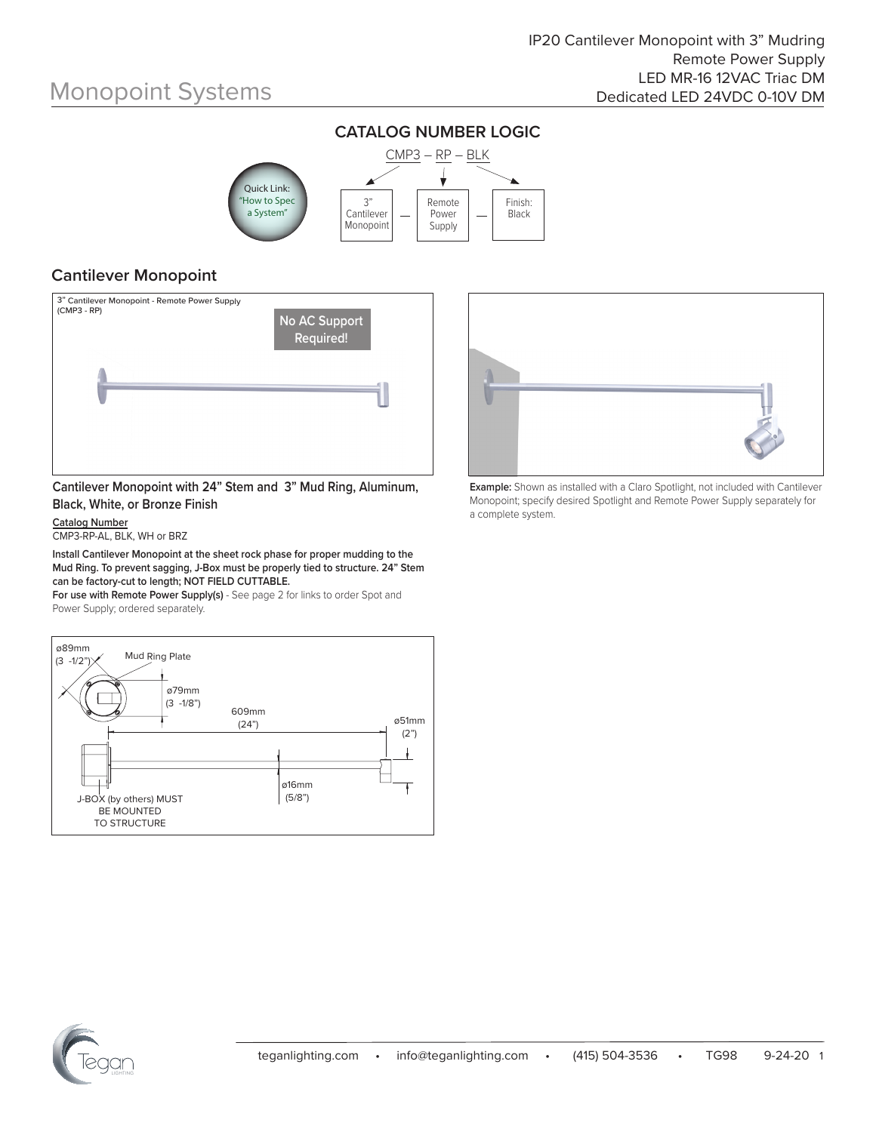

#### **CATALOG NUMBER LOGIC**

#### **Cantilever Monopoint**



**Cantilever Monopoint with 24" Stem and 3" Mud Ring, Aluminum, Black, White, or Bronze Finish**

**Catalog Number** CMP3-RP-AL, BLK, WH or BRZ

**Install Cantilever Monopoint at the sheet rock phase for proper mudding to the Mud Ring. To prevent sagging, J-Box must be properly tied to structure. 24" Stem can be factory-cut to length; NOT FIELD CUTTABLE.**

**For use with Remote Power Supply(s)** - See page 2 for links to order Spot and Power Supply; ordered separately.





**Example:** Shown as installed with a Claro Spotlight, not included with Cantilever Monopoint; specify desired Spotlight and Remote Power Supply separately for a complete system.

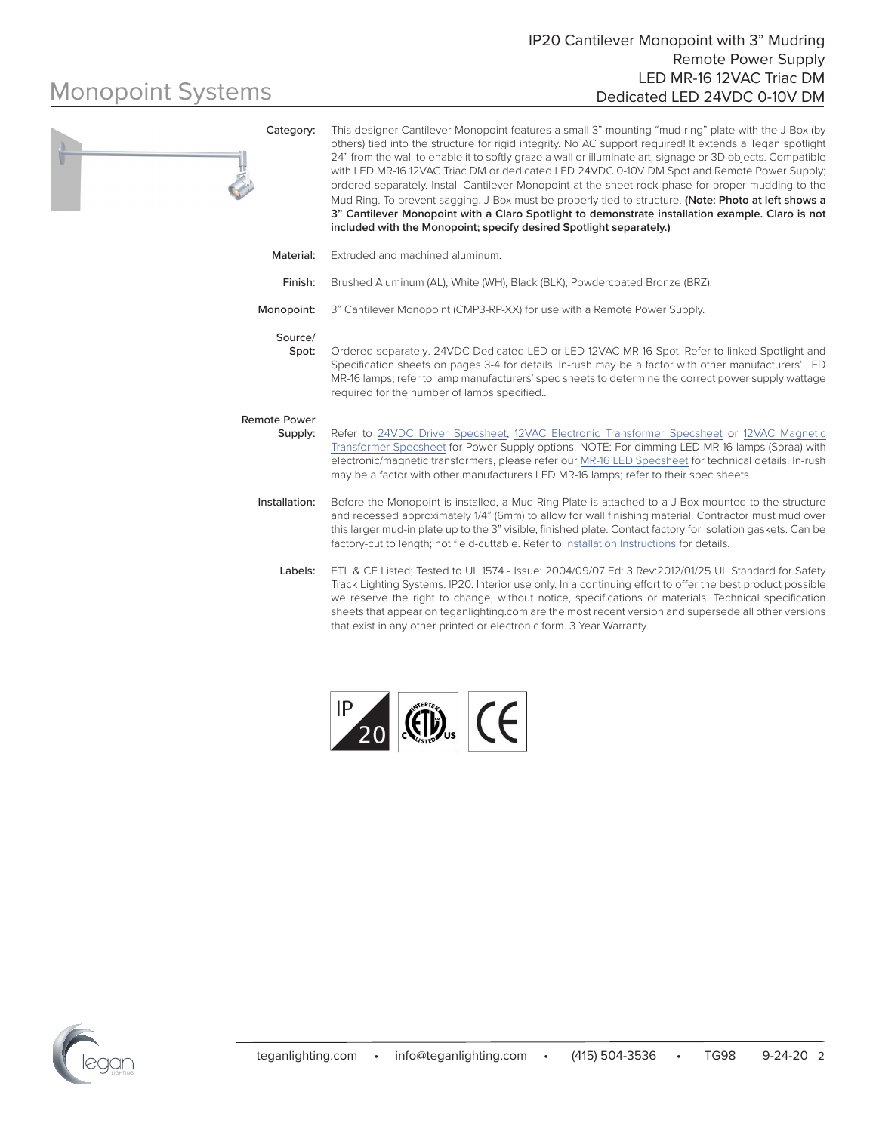| Category:                      | This designer Cantilever Monopoint features a small 3" mounting "mud-ring" plate with the J-Box (by<br>others) tied into the structure for rigid integrity. No AC support required! It extends a Tegan spotlight<br>24" from the wall to enable it to softly graze a wall or illuminate art, signage or 3D objects. Compatible<br>with LED MR-16 12VAC Triac DM or dedicated LED 24VDC 0-10V DM Spot and Remote Power Supply;<br>ordered separately. Install Cantilever Monopoint at the sheet rock phase for proper mudding to the<br>Mud Ring. To prevent sagging, J-Box must be properly tied to structure. (Note: Photo at left shows a<br>3" Cantilever Monopoint with a Claro Spotlight to demonstrate installation example. Claro is not<br>included with the Monopoint; specify desired Spotlight separately.) |
|--------------------------------|------------------------------------------------------------------------------------------------------------------------------------------------------------------------------------------------------------------------------------------------------------------------------------------------------------------------------------------------------------------------------------------------------------------------------------------------------------------------------------------------------------------------------------------------------------------------------------------------------------------------------------------------------------------------------------------------------------------------------------------------------------------------------------------------------------------------|
| Material:                      | Extruded and machined aluminum.                                                                                                                                                                                                                                                                                                                                                                                                                                                                                                                                                                                                                                                                                                                                                                                        |
| Finish:                        | Brushed Aluminum (AL), White (WH), Black (BLK), Powdercoated Bronze (BRZ).                                                                                                                                                                                                                                                                                                                                                                                                                                                                                                                                                                                                                                                                                                                                             |
| Monopoint:                     | 3" Cantilever Monopoint (CMP3-RP-XX) for use with a Remote Power Supply.                                                                                                                                                                                                                                                                                                                                                                                                                                                                                                                                                                                                                                                                                                                                               |
| Source/<br>Spot:               | Ordered separately. 24VDC Dedicated LED or LED 12VAC MR-16 Spot. Refer to linked Spotlight and<br>Specification sheets on pages 3-4 for details. In-rush may be a factor with other manufacturers' LED<br>MR-16 lamps; refer to lamp manufacturers' spec sheets to determine the correct power supply wattage<br>required for the number of lamps specified                                                                                                                                                                                                                                                                                                                                                                                                                                                            |
| <b>Remote Power</b><br>Supply: | Refer to 24VDC Driver Specsheet, 12VAC Electronic Transformer Specsheet or 12VAC Magnetic<br>Transformer Specsheet for Power Supply options. NOTE: For dimming LED MR-16 lamps (Soraa) with<br>electronic/magnetic transformers, please refer our MR-16 LED Specsheet for technical details. In-rush<br>may be a factor with other manufacturers LED MR-16 lamps; refer to their spec sheets.                                                                                                                                                                                                                                                                                                                                                                                                                          |
| Installation:                  | Before the Monopoint is installed, a Mud Ring Plate is attached to a J-Box mounted to the structure<br>and recessed approximately 1/4" (6mm) to allow for wall finishing material. Contractor must mud over<br>this larger mud-in plate up to the 3" visible, finished plate. Contact factory for isolation gaskets. Can be<br>factory-cut to length; not field-cuttable. Refer to Installation Instructions for details.                                                                                                                                                                                                                                                                                                                                                                                              |
| Labels:                        | ETL & CE Listed; Tested to UL 1574 - Issue: 2004/09/07 Ed: 3 Rev:2012/01/25 UL Standard for Safety<br>Track Lighting Systems. IP20. Interior use only. In a continuing effort to offer the best product possible<br>we reserve the right to change, without notice, specifications or materials. Technical specification<br>sheets that appear on teganlighting.com are the most recent version and supersede all other versions<br>that exist in any other printed or electronic form. 3 Year Warranty.                                                                                                                                                                                                                                                                                                               |



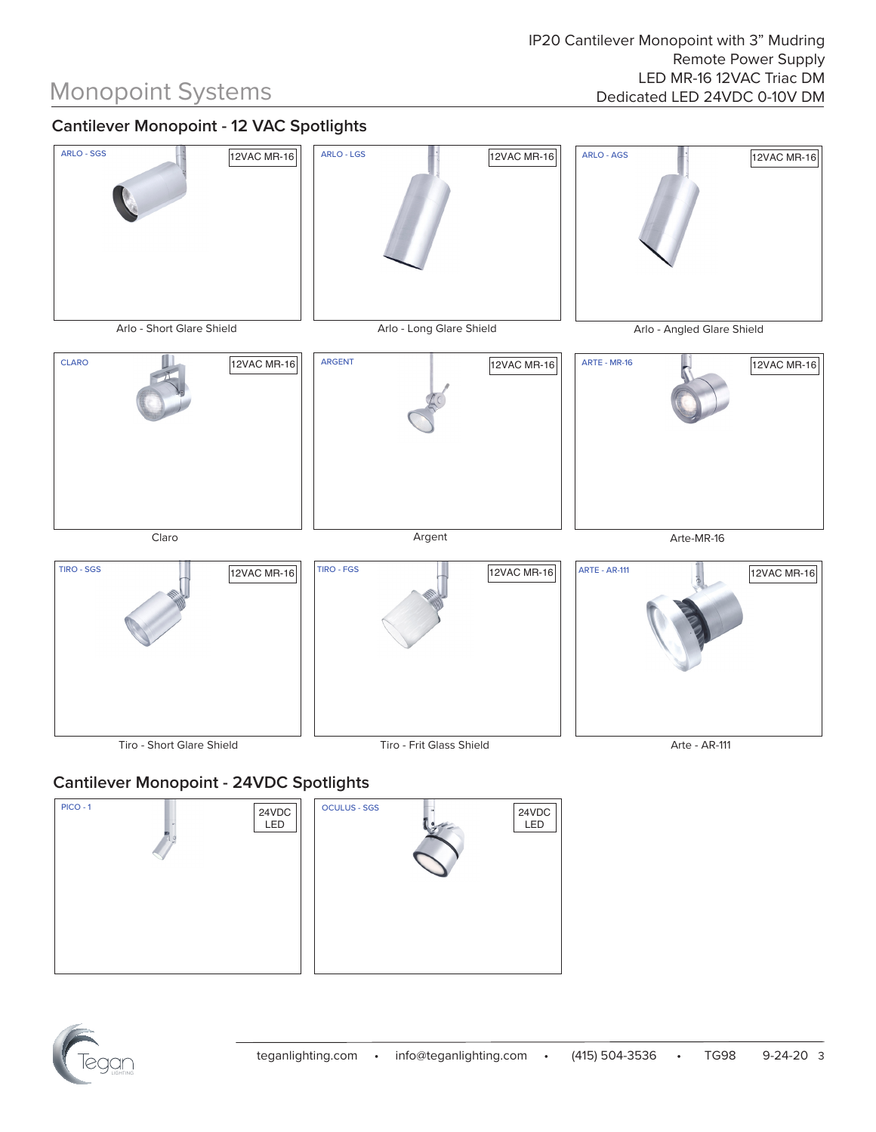### **Cantilever Monopoint - 12 VAC Spotlights**



### **Cantilever Monopoint - 24VDC Spotlights**